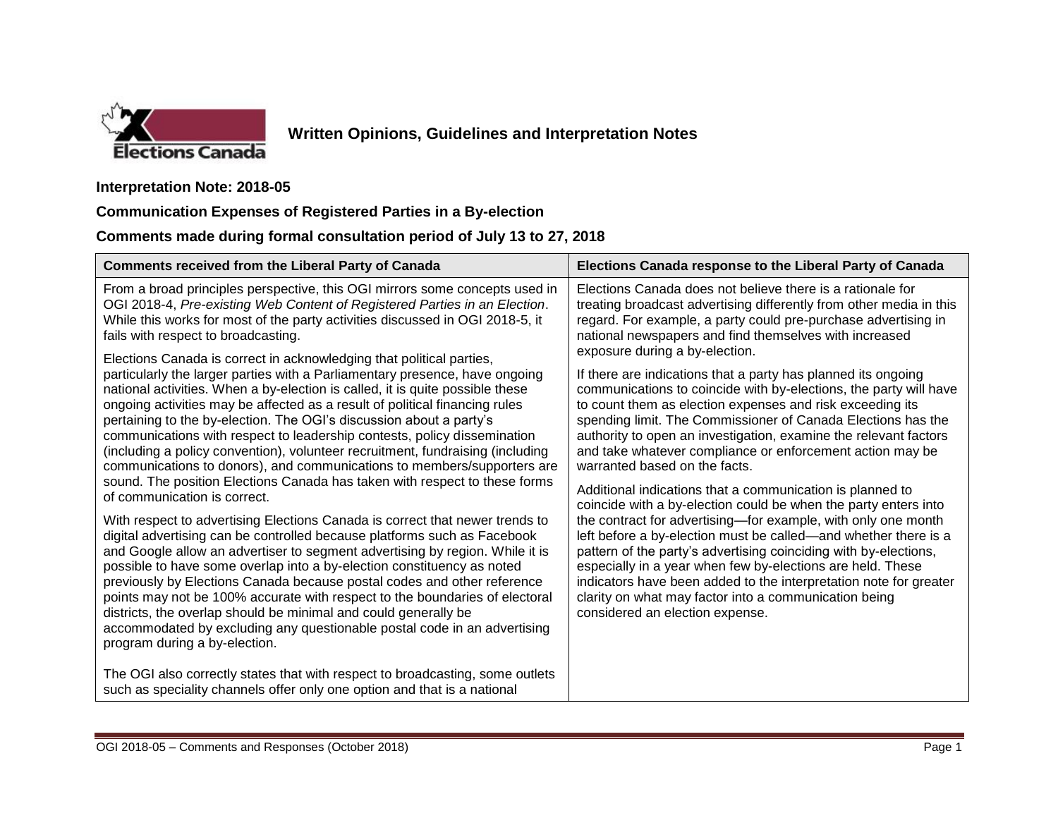

## **Written Opinions, Guidelines and Interpretation Notes**

## **Interpretation Note: 2018-05**

## **Communication Expenses of Registered Parties in a By-election**

## **Comments made during formal consultation period of July 13 to 27, 2018**

| <b>Comments received from the Liberal Party of Canada</b>                                                                                                                                                                                                                                                                                                                                                                                                                                                                                                                                                                                                                 | Elections Canada response to the Liberal Party of Canada                                                                                                                                                                                                                                                                                                                                                                                                                                                                                                                                                                                                                                                                                                                                                                                                                                                                                                                                                                                                                                                                                                                                                                                                                                                    |
|---------------------------------------------------------------------------------------------------------------------------------------------------------------------------------------------------------------------------------------------------------------------------------------------------------------------------------------------------------------------------------------------------------------------------------------------------------------------------------------------------------------------------------------------------------------------------------------------------------------------------------------------------------------------------|-------------------------------------------------------------------------------------------------------------------------------------------------------------------------------------------------------------------------------------------------------------------------------------------------------------------------------------------------------------------------------------------------------------------------------------------------------------------------------------------------------------------------------------------------------------------------------------------------------------------------------------------------------------------------------------------------------------------------------------------------------------------------------------------------------------------------------------------------------------------------------------------------------------------------------------------------------------------------------------------------------------------------------------------------------------------------------------------------------------------------------------------------------------------------------------------------------------------------------------------------------------------------------------------------------------|
| From a broad principles perspective, this OGI mirrors some concepts used in<br>OGI 2018-4, Pre-existing Web Content of Registered Parties in an Election.<br>While this works for most of the party activities discussed in OGI 2018-5, it<br>fails with respect to broadcasting.<br>Elections Canada is correct in acknowledging that political parties,                                                                                                                                                                                                                                                                                                                 | Elections Canada does not believe there is a rationale for<br>treating broadcast advertising differently from other media in this<br>regard. For example, a party could pre-purchase advertising in<br>national newspapers and find themselves with increased<br>exposure during a by-election.<br>If there are indications that a party has planned its ongoing<br>communications to coincide with by-elections, the party will have<br>to count them as election expenses and risk exceeding its<br>spending limit. The Commissioner of Canada Elections has the<br>authority to open an investigation, examine the relevant factors<br>and take whatever compliance or enforcement action may be<br>warranted based on the facts.<br>Additional indications that a communication is planned to<br>coincide with a by-election could be when the party enters into<br>the contract for advertising-for example, with only one month<br>left before a by-election must be called—and whether there is a<br>pattern of the party's advertising coinciding with by-elections,<br>especially in a year when few by-elections are held. These<br>indicators have been added to the interpretation note for greater<br>clarity on what may factor into a communication being<br>considered an election expense. |
| particularly the larger parties with a Parliamentary presence, have ongoing<br>national activities. When a by-election is called, it is quite possible these<br>ongoing activities may be affected as a result of political financing rules<br>pertaining to the by-election. The OGI's discussion about a party's<br>communications with respect to leadership contests, policy dissemination<br>(including a policy convention), volunteer recruitment, fundraising (including<br>communications to donors), and communications to members/supporters are<br>sound. The position Elections Canada has taken with respect to these forms<br>of communication is correct. |                                                                                                                                                                                                                                                                                                                                                                                                                                                                                                                                                                                                                                                                                                                                                                                                                                                                                                                                                                                                                                                                                                                                                                                                                                                                                                             |
| With respect to advertising Elections Canada is correct that newer trends to<br>digital advertising can be controlled because platforms such as Facebook<br>and Google allow an advertiser to segment advertising by region. While it is<br>possible to have some overlap into a by-election constituency as noted<br>previously by Elections Canada because postal codes and other reference<br>points may not be 100% accurate with respect to the boundaries of electoral<br>districts, the overlap should be minimal and could generally be<br>accommodated by excluding any questionable postal code in an advertising<br>program during a by-election.              |                                                                                                                                                                                                                                                                                                                                                                                                                                                                                                                                                                                                                                                                                                                                                                                                                                                                                                                                                                                                                                                                                                                                                                                                                                                                                                             |
| The OGI also correctly states that with respect to broadcasting, some outlets<br>such as speciality channels offer only one option and that is a national                                                                                                                                                                                                                                                                                                                                                                                                                                                                                                                 |                                                                                                                                                                                                                                                                                                                                                                                                                                                                                                                                                                                                                                                                                                                                                                                                                                                                                                                                                                                                                                                                                                                                                                                                                                                                                                             |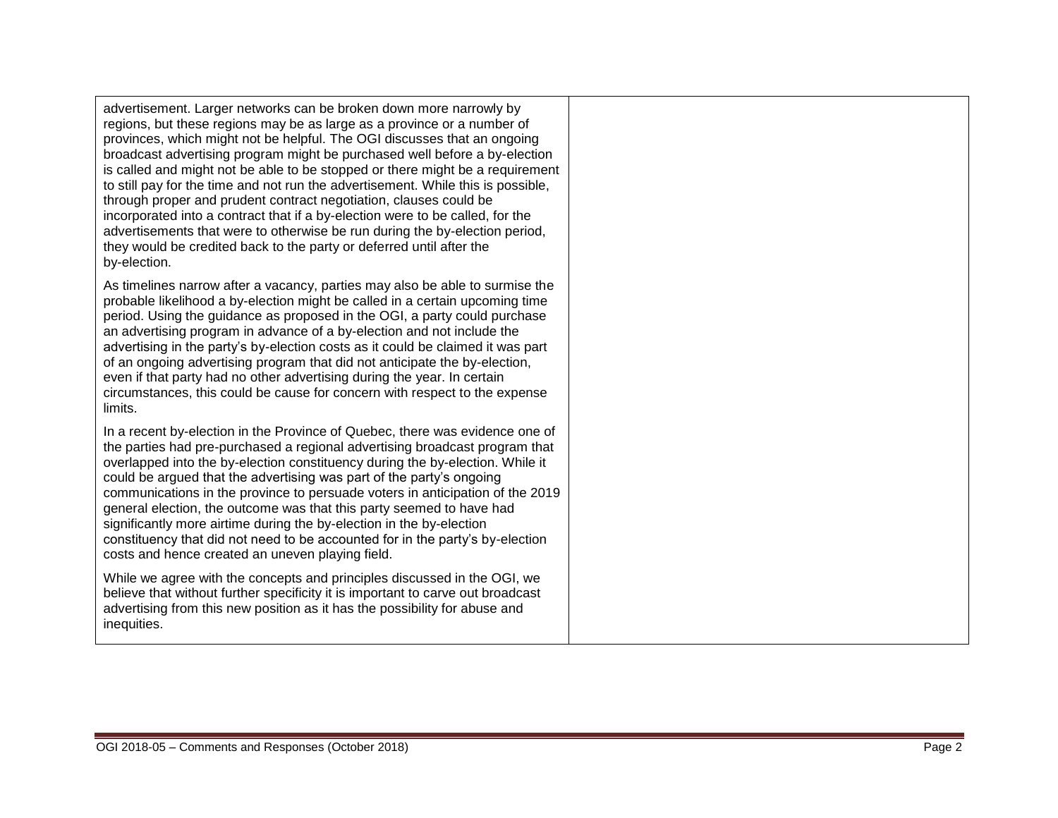advertisement. Larger networks can be broken down more narrowly by regions, but these regions may be as large as a province or a number of provinces, which might not be helpful. The OGI discusses that an ongoing broadcast advertising program might be purchased well before a by -election is called and might not be able to be stopped or there might be a requirement to still pay for the time and not run the advertisement. While this is possible, through proper and prudent contract negotiation, clauses could be incorporated into a contract that if a by -election were to be called, for the advertisements that were to otherwise be run during the by -election period, they would be credited back to the party or deferred until after the by -election .

As timelines narrow after a vacancy, parties may also be able to surmise the probable likelihood a by -election might be called in a certain upcoming time period. Using the guidance as proposed in the OGI, a party could purchase an advertising program in advance of a by -election and not include the advertising in the party's by-election costs as it could be claimed it was part of an ongoing advertising program that did not anticipate the by -election, even if that party had no other advertising during the year. In certain circumstances, this could be cause for concern with respect to the expense limits.

In a recent by -election in the Province of Quebec, there was evidence one of the parties had pre -purchased a regional advertising broadcast program that overlapped into the by-election constituency during the by-election. While it could be argued that the advertising was part of the party's ongoing communications in the province to persuade voters in anticipation of the 2019 general election, the outcome was that this party seemed to have had significantly more airtime during the by-election in the by-election constituency that did not need to be accounted for in the party's by -election costs and hence created an uneven playing field.

While we agree with the concepts and principles discussed in the OGI, we believe that without further specificity it is important to carve out broadcast advertising from this new position as it has the possibility for abuse and inequities.